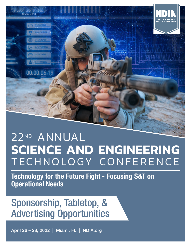

# 22ND ANNUAL **SCIENCE AND ENGINEERING** TECHNOLOGY CONFERENCE

Technology for the Future Fight - Focusing S&T on Operational Needs

# Sponsorship, Tabletop, & Advertising Opportunities

April 26 – 28, 2022 | Miami, FL | NDIA.org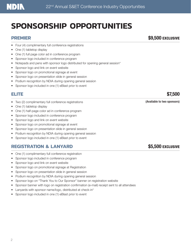# **SPONSORSHIP OPPORTUNITIES**

- Four (4) complimentary full conference registrations
- One (1) tabletop display
- One (1) full page color ad in conference program
- Sponsor logo included in conference program
- Notepads and pens with sponsor logo distributed for opening general session\*
- Sponsor logo and link on event website
- Sponsor logo on promotional signage at event
- Sponsor logo on presentation slide in general session
- Podium recognition by NDIA during opening general session
- Sponsor logo included in one (1) eBlast prior to event

- Fwo (2) complimentary full conference registrations (Available to two sponsors)
- One (1) tabletop display
- One (1) half-page color ad in conference program
- Sponsor logo included in conference program
- Sponsor logo and link on event website
- Sponsor logo on promotional signage at event
- Sponsor logo on presentation slide in general session
- Podium recognition by NDIA during opening general session
- Sponsor logo included in one (1) eBlast prior to event

### **REGISTRATION & LANYARD \$5,500 EXCLUSIVE**

- One (1) complimentary full conference registration
- Sponsor logo included in conference program
- Sponsor logo and link on event website
- Sponsor logo on promotional signage at Registration
- Sponsor logo on presentation slide in general session
- Podium recognition by NDIA during opening general session
- Sponsor logo on "Thank You to Our Sponsor" banner on registration website
- Sponsor banner with logo on registration confirmation (e-mail) receipt sent to all attendees
- Lanyards with sponsor name/logo, distributed at check-in\*
- Sponsor logo included in one (1) eBlast prior to event

#### **PREMIER** \$9,500 EXCLUSIVE

### **ELITE** \$7,500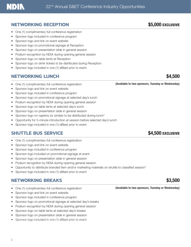#### **NETWORKING RECEPTION 55,000 EXCLUSIVE**

- One (1) complimentary full conference registration
- Sponsor logo included in conference program
- Sponsor logo and link on event website
- Sponsor logo on promotional signage at Reception
- Sponsor logo on presentation slide in general session
- Podium recognition by NDIA during opening general session
- Sponsor logo on table tents at Reception
- Sponsor logo on drink tickets to be distributed during Reception
- Sponsor logo included in one (1) eBlast prior to event

#### **NETWORKING LUNCH** \$4,500

- 
- Sponsor logo and link on event website
- Sponsor logo included in conference program
- Sponsor logo on promotional signage at selected day's lunch
- Podium recognition by NDIA during opening general session
- Sponsor logo on table tents at selected day's lunch
- Sponsor logo on presentation slide in general session
- Sponsor logo on napkins (or similar) to be distributed during lunch<sup>\*</sup>
- Opportunity for 5-minute introduction at session before selected day's lunch
- Sponsor logo included in one (1) eBlast prior to event

#### **SHUTTLE BUS SERVICE SERVICE 34,500 EXCLUSIVE**

- One (1) complimentary full conference registration
- Sponsor logo and link on event website
- Sponsor logo included in conference program
- Sponsor logo included on promotional signage at event
- Sponsor logo on presentation slide in general session
- Podium recognition by NDIA during opening general session
- Opportunity to distribute branded item and/or marketing materials on shuttle to classified session\*
- Sponsor logo included in one (1) eBlast prior to event

#### **NETWORKING BREAKS** \$3,500

- One (1) complimentary full conference registration (Available to two sponsors, Tuesday or Wednesday)
- Sponsor logo and link on event website
- Sponsor logo included in conference program
- Sponsor logo on promotional signage at selected day's breaks
- Podium recognition by NDIA during opening general session
- Sponsor logo on table tents at selected day's breaks
- Sponsor logo on presentation slide in general session
- Sponsor logo included in one (1) eBlast prior to event

• One (1) complimentary full conference registration (Available to two sponsors, Tuesday or Wednesday)

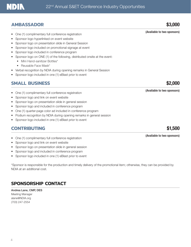## **NDIN**

## **AMBASSADOR** \$3,000

- (Available to two sponsors) One (1) complimentary full conference registration
- Sponsor logo hyperlinked on event website
- Sponsor logo on presentation slide in General Session
- Sponsor logo included on promotional signage at event
- Sponsor logo included in conference program
- Sponsor logo on ONE (1) of the following, distributed onsite at the event:
	- Mini Hand-sanitizer Bottles\*
		- Reusable Face Mask\*
- Verbal recognition by NDIA during opening remarks in General Session
- Sponsor logo included in one (1) eBlast prior to event

## **SMALL BUSINESS** \$2,000

- (Available to two sponsors) One (1) complimentary full conference registration
- Sponsor logo and link on event website
- Sponsor logo on presentation slide in general session
- Sponsor logo and included in conference program
- One (1) quarter-page color ad included in conference program
- Podium recognition by NDIA during opening remarks in general session
- Sponsor logo included in one (1) eBlast prior to event

## **CONTRIBUTING** \$1,500

- (Available to two sponsors) One (1) complimentary full conference registration
- Sponsor logo and link on event website
- Sponsor logo on presentation slide in general session
- Sponsor logo and included in conference program
- Sponsor logo included in one (1) eBlast prior to event

\*Sponsor is responsible for the production and timely delivery of the promotional item; otherwise, they can be provided by NDIA at an additional cost.

## **SPONSORSHIP CONTACT**

Andrea Lane, CMP, DES Meeting Manager alane@NDIA.org (703) 247-2554



4 PB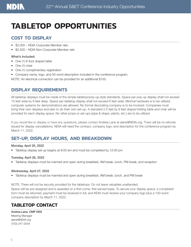

# **TABLETOP OPPORTUNITIES**

#### **COST TO DISPLAY**

- \$2,000 NDIA Corporate Member rate
- \$2,500 NDIA Non-Corporate Member rate

#### What's Included:

- One (1) 6-foot draped table
- One (1) chair
- One (1) complimentary registration
- Company name, logo, and 50-word description included in the conference program

NOTE: An electrical connection can be provided for an additional \$100.

#### **DISPLAY REQUIREMENTS**

All tabletop displays must be made of the simple tabletop/pop-up style standards. Space per pop-up display shall not exceed 10 feet wide by 6 feet deep. Space per tabletop display shall not exceed 6 feet wide. Minimal hardware is to be utilized; computer systems for demonstrations are allowed. No formal decorating company is to be involved. Companies must bring their own displays and plan to do their own set-up. A standard 2.5 feet by 6 feet draped folding table and chair will be provided for each display space. No other props or set-ups (pipe & drape, plants, etc.) are to be utilized.

If you would like to display or have any questions, please contact Andrea Lane at alane@NDIA.org. There will be no refunds issued for display cancellations. NDIA will need the contract, company logo, and description for the conference program by March 11, 2022.

### **SET-UP, DISPLAY HOURS, AND BREAKDOWN**

#### Monday, April 25, 2022

• Tabletop display set-up begins at 8:00 am and must be completed by 12:00 pm

#### Tuesday, April 26, 2022

• Tabletop displays must be manned and open during breakfast, AM break, lunch, PM break, and reception

#### Wednesday, April 27, 2022

• Tabletop displays must be manned and open during breakfast, AM break, lunch, and PM break

NOTE: There will not be security provided for the tabletops. Do not leave valuables unattended. Space will be pre-assigned and is awarded on a first-come, first-served basis. To secure your display space, a completed form must be returned, payment must be received in full, and NDIA must receive your company logo plus a 100-word company description by March 11, 2022.

### **TABLETOP CONTACT**

#### Andrea Lane, CMP DES

Meeting Manager alane@NDIA.org (703) 247-2554